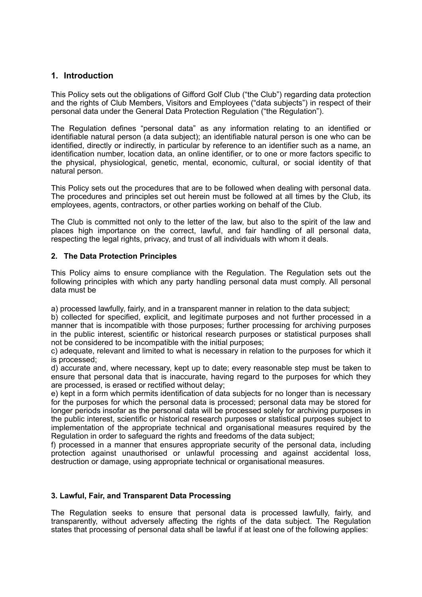# **1. Introduction**

This Policy sets out the obligations of Gifford Golf Club ("the Club") regarding data protection and the rights of Club Members, Visitors and Employees ("data subjects") in respect of their personal data under the General Data Protection Regulation ("the Regulation").

The Regulation defines "personal data" as any information relating to an identified or identifiable natural person (a data subject); an identifiable natural person is one who can be identified, directly or indirectly, in particular by reference to an identifier such as a name, an identification number, location data, an online identifier, or to one or more factors specific to the physical, physiological, genetic, mental, economic, cultural, or social identity of that natural person.

This Policy sets out the procedures that are to be followed when dealing with personal data. The procedures and principles set out herein must be followed at all times by the Club, its employees, agents, contractors, or other parties working on behalf of the Club.

The Club is committed not only to the letter of the law, but also to the spirit of the law and places high importance on the correct, lawful, and fair handling of all personal data, respecting the legal rights, privacy, and trust of all individuals with whom it deals.

### **2. The Data Protection Principles**

This Policy aims to ensure compliance with the Regulation. The Regulation sets out the following principles with which any party handling personal data must comply. All personal data must be

a) processed lawfully, fairly, and in a transparent manner in relation to the data subject;

b) collected for specified, explicit, and legitimate purposes and not further processed in a manner that is incompatible with those purposes; further processing for archiving purposes in the public interest, scientific or historical research purposes or statistical purposes shall not be considered to be incompatible with the initial purposes;

c) adequate, relevant and limited to what is necessary in relation to the purposes for which it is processed;

d) accurate and, where necessary, kept up to date; every reasonable step must be taken to ensure that personal data that is inaccurate, having regard to the purposes for which they are processed, is erased or rectified without delay;

e) kept in a form which permits identification of data subjects for no longer than is necessary for the purposes for which the personal data is processed; personal data may be stored for longer periods insofar as the personal data will be processed solely for archiving purposes in the public interest, scientific or historical research purposes or statistical purposes subject to implementation of the appropriate technical and organisational measures required by the Regulation in order to safeguard the rights and freedoms of the data subject;

f) processed in a manner that ensures appropriate security of the personal data, including protection against unauthorised or unlawful processing and against accidental loss, destruction or damage, using appropriate technical or organisational measures.

### **3. Lawful, Fair, and Transparent Data Processing**

The Regulation seeks to ensure that personal data is processed lawfully, fairly, and transparently, without adversely affecting the rights of the data subject. The Regulation states that processing of personal data shall be lawful if at least one of the following applies: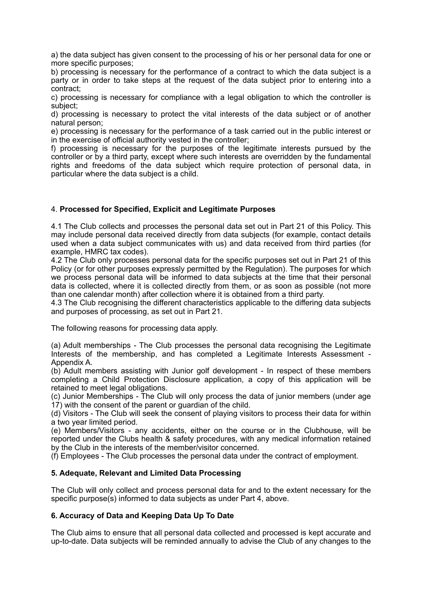a) the data subject has given consent to the processing of his or her personal data for one or more specific purposes;

b) processing is necessary for the performance of a contract to which the data subject is a party or in order to take steps at the request of the data subject prior to entering into a contract;

c) processing is necessary for compliance with a legal obligation to which the controller is subject;

d) processing is necessary to protect the vital interests of the data subject or of another natural person;

e) processing is necessary for the performance of a task carried out in the public interest or in the exercise of official authority vested in the controller;

f) processing is necessary for the purposes of the legitimate interests pursued by the controller or by a third party, except where such interests are overridden by the fundamental rights and freedoms of the data subject which require protection of personal data, in particular where the data subject is a child.

### 4. **Processed for Specified, Explicit and Legitimate Purposes**

4.1 The Club collects and processes the personal data set out in Part 21 of this Policy. This may include personal data received directly from data subjects (for example, contact details used when a data subject communicates with us) and data received from third parties (for example, HMRC tax codes).

4.2 The Club only processes personal data for the specific purposes set out in Part 21 of this Policy (or for other purposes expressly permitted by the Regulation). The purposes for which we process personal data will be informed to data subjects at the time that their personal data is collected, where it is collected directly from them, or as soon as possible (not more than one calendar month) after collection where it is obtained from a third party.

4.3 The Club recognising the different characteristics applicable to the differing data subjects and purposes of processing, as set out in Part 21.

The following reasons for processing data apply.

(a) Adult memberships - The Club processes the personal data recognising the Legitimate Interests of the membership, and has completed a Legitimate Interests Assessment - Appendix A.

(b) Adult members assisting with Junior golf development - In respect of these members completing a Child Protection Disclosure application, a copy of this application will be retained to meet legal obligations.

(c) Junior Memberships - The Club will only process the data of junior members (under age 17) with the consent of the parent or guardian of the child.

(d) Visitors - The Club will seek the consent of playing visitors to process their data for within a two year limited period.

(e) Members/Visitors - any accidents, either on the course or in the Clubhouse, will be reported under the Clubs health & safety procedures, with any medical information retained by the Club in the interests of the member/visitor concerned.

(f) Employees - The Club processes the personal data under the contract of employment.

#### **5. Adequate, Relevant and Limited Data Processing**

The Club will only collect and process personal data for and to the extent necessary for the specific purpose(s) informed to data subjects as under Part 4, above.

### **6. Accuracy of Data and Keeping Data Up To Date**

The Club aims to ensure that all personal data collected and processed is kept accurate and up-to-date. Data subjects will be reminded annually to advise the Club of any changes to the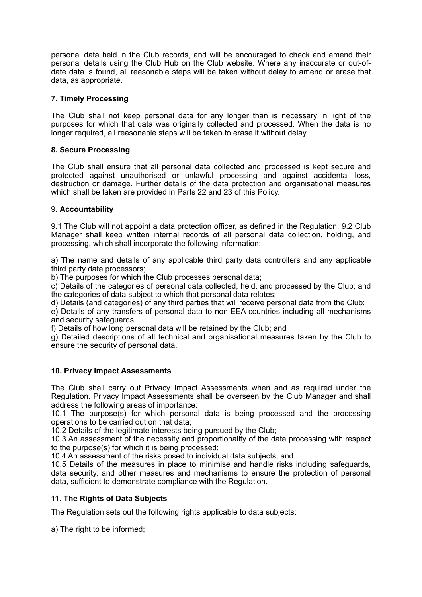personal data held in the Club records, and will be encouraged to check and amend their personal details using the Club Hub on the Club website. Where any inaccurate or out-ofdate data is found, all reasonable steps will be taken without delay to amend or erase that data, as appropriate.

## **7. Timely Processing**

The Club shall not keep personal data for any longer than is necessary in light of the purposes for which that data was originally collected and processed. When the data is no longer required, all reasonable steps will be taken to erase it without delay.

### **8. Secure Processing**

The Club shall ensure that all personal data collected and processed is kept secure and protected against unauthorised or unlawful processing and against accidental loss, destruction or damage. Further details of the data protection and organisational measures which shall be taken are provided in Parts 22 and 23 of this Policy.

## 9. **Accountability**

9.1 The Club will not appoint a data protection officer, as defined in the Regulation. 9.2 Club Manager shall keep written internal records of all personal data collection, holding, and processing, which shall incorporate the following information:

a) The name and details of any applicable third party data controllers and any applicable third party data processors;

b) The purposes for which the Club processes personal data;

c) Details of the categories of personal data collected, held, and processed by the Club; and the categories of data subject to which that personal data relates;

d) Details (and categories) of any third parties that will receive personal data from the Club;

e) Details of any transfers of personal data to non-EEA countries including all mechanisms and security safeguards;

f) Details of how long personal data will be retained by the Club; and

g) Detailed descriptions of all technical and organisational measures taken by the Club to ensure the security of personal data.

### **10. Privacy Impact Assessments**

The Club shall carry out Privacy Impact Assessments when and as required under the Regulation. Privacy Impact Assessments shall be overseen by the Club Manager and shall address the following areas of importance:

10.1 The purpose(s) for which personal data is being processed and the processing operations to be carried out on that data;

10.2 Details of the legitimate interests being pursued by the Club;

10.3 An assessment of the necessity and proportionality of the data processing with respect to the purpose(s) for which it is being processed;

10.4 An assessment of the risks posed to individual data subjects; and

10.5 Details of the measures in place to minimise and handle risks including safeguards, data security, and other measures and mechanisms to ensure the protection of personal data, sufficient to demonstrate compliance with the Regulation.

### **11. The Rights of Data Subjects**

The Regulation sets out the following rights applicable to data subjects:

a) The right to be informed: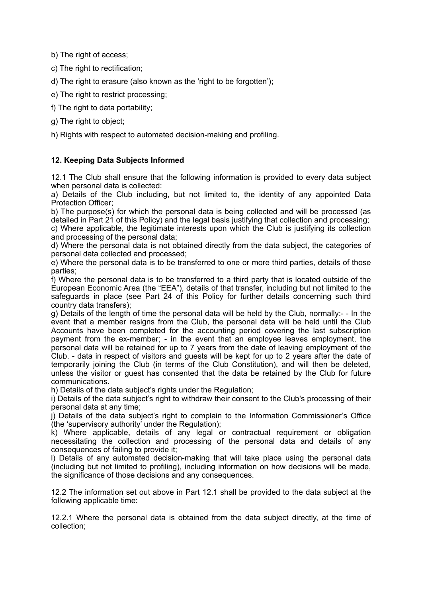b) The right of access;

c) The right to rectification:

d) The right to erasure (also known as the 'right to be forgotten');

e) The right to restrict processing;

f) The right to data portability;

g) The right to object;

h) Rights with respect to automated decision-making and profiling.

## **12. Keeping Data Subjects Informed**

12.1 The Club shall ensure that the following information is provided to every data subject when personal data is collected:

a) Details of the Club including, but not limited to, the identity of any appointed Data Protection Officer;

b) The purpose(s) for which the personal data is being collected and will be processed (as detailed in Part 21 of this Policy) and the legal basis justifying that collection and processing; c) Where applicable, the legitimate interests upon which the Club is justifying its collection and processing of the personal data;

d) Where the personal data is not obtained directly from the data subject, the categories of personal data collected and processed;

e) Where the personal data is to be transferred to one or more third parties, details of those parties;

f) Where the personal data is to be transferred to a third party that is located outside of the European Economic Area (the "EEA"), details of that transfer, including but not limited to the safeguards in place (see Part 24 of this Policy for further details concerning such third country data transfers);

g) Details of the length of time the personal data will be held by the Club, normally:- - In the event that a member resigns from the Club, the personal data will be held until the Club Accounts have been completed for the accounting period covering the last subscription payment from the ex-member; - in the event that an employee leaves employment, the personal data will be retained for up to 7 years from the date of leaving employment of the Club. - data in respect of visitors and guests will be kept for up to 2 years after the date of temporarily joining the Club (in terms of the Club Constitution), and will then be deleted, unless the visitor or guest has consented that the data be retained by the Club for future communications.

h) Details of the data subject's rights under the Regulation;

i) Details of the data subject's right to withdraw their consent to the Club's processing of their personal data at any time;

j) Details of the data subject's right to complain to the Information Commissioner's Office (the 'supervisory authority' under the Regulation);

k) Where applicable, details of any legal or contractual requirement or obligation necessitating the collection and processing of the personal data and details of any consequences of failing to provide it;

l) Details of any automated decision-making that will take place using the personal data (including but not limited to profiling), including information on how decisions will be made, the significance of those decisions and any consequences.

12.2 The information set out above in Part 12.1 shall be provided to the data subject at the following applicable time:

12.2.1 Where the personal data is obtained from the data subject directly, at the time of collection;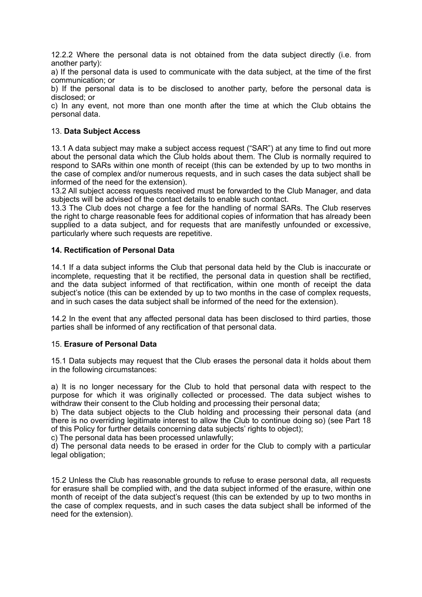12.2.2 Where the personal data is not obtained from the data subject directly (i.e. from another party):

a) If the personal data is used to communicate with the data subject, at the time of the first communication; or

b) If the personal data is to be disclosed to another party, before the personal data is disclosed; or

c) In any event, not more than one month after the time at which the Club obtains the personal data.

### 13. **Data Subject Access**

13.1 A data subject may make a subject access request ("SAR") at any time to find out more about the personal data which the Club holds about them. The Club is normally required to respond to SARs within one month of receipt (this can be extended by up to two months in the case of complex and/or numerous requests, and in such cases the data subject shall be informed of the need for the extension).

13.2 All subject access requests received must be forwarded to the Club Manager, and data subjects will be advised of the contact details to enable such contact.

13.3 The Club does not charge a fee for the handling of normal SARs. The Club reserves the right to charge reasonable fees for additional copies of information that has already been supplied to a data subject, and for requests that are manifestly unfounded or excessive, particularly where such requests are repetitive.

### **14. Rectification of Personal Data**

14.1 If a data subject informs the Club that personal data held by the Club is inaccurate or incomplete, requesting that it be rectified, the personal data in question shall be rectified, and the data subject informed of that rectification, within one month of receipt the data subject's notice (this can be extended by up to two months in the case of complex requests, and in such cases the data subject shall be informed of the need for the extension).

14.2 In the event that any affected personal data has been disclosed to third parties, those parties shall be informed of any rectification of that personal data.

#### 15. **Erasure of Personal Data**

15.1 Data subjects may request that the Club erases the personal data it holds about them in the following circumstances:

a) It is no longer necessary for the Club to hold that personal data with respect to the purpose for which it was originally collected or processed. The data subject wishes to withdraw their consent to the Club holding and processing their personal data;

b) The data subject objects to the Club holding and processing their personal data (and there is no overriding legitimate interest to allow the Club to continue doing so) (see Part 18 of this Policy for further details concerning data subjects' rights to object);

c) The personal data has been processed unlawfully;

d) The personal data needs to be erased in order for the Club to comply with a particular legal obligation;

15.2 Unless the Club has reasonable grounds to refuse to erase personal data, all requests for erasure shall be complied with, and the data subject informed of the erasure, within one month of receipt of the data subject's request (this can be extended by up to two months in the case of complex requests, and in such cases the data subject shall be informed of the need for the extension).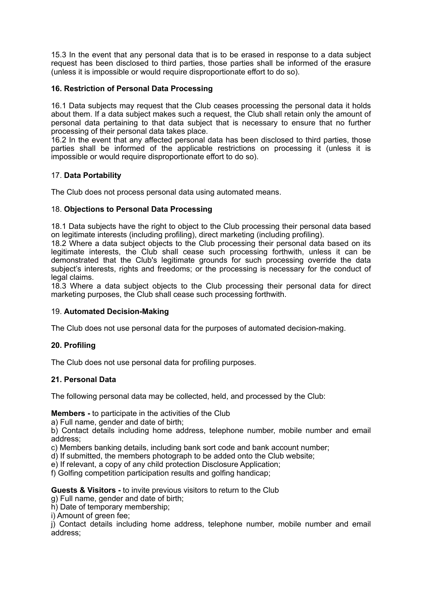15.3 In the event that any personal data that is to be erased in response to a data subject request has been disclosed to third parties, those parties shall be informed of the erasure (unless it is impossible or would require disproportionate effort to do so).

## **16. Restriction of Personal Data Processing**

16.1 Data subjects may request that the Club ceases processing the personal data it holds about them. If a data subject makes such a request, the Club shall retain only the amount of personal data pertaining to that data subject that is necessary to ensure that no further processing of their personal data takes place.

16.2 In the event that any affected personal data has been disclosed to third parties, those parties shall be informed of the applicable restrictions on processing it (unless it is impossible or would require disproportionate effort to do so).

### 17. **Data Portability**

The Club does not process personal data using automated means.

### 18. **Objections to Personal Data Processing**

18.1 Data subjects have the right to object to the Club processing their personal data based on legitimate interests (including profiling), direct marketing (including profiling).

18.2 Where a data subject objects to the Club processing their personal data based on its legitimate interests, the Club shall cease such processing forthwith, unless it can be demonstrated that the Club's legitimate grounds for such processing override the data subject's interests, rights and freedoms; or the processing is necessary for the conduct of legal claims.

18.3 Where a data subject objects to the Club processing their personal data for direct marketing purposes, the Club shall cease such processing forthwith.

### 19. **Automated Decision-Making**

The Club does not use personal data for the purposes of automated decision-making.

### **20. Profiling**

The Club does not use personal data for profiling purposes.

### **21. Personal Data**

The following personal data may be collected, held, and processed by the Club:

#### **Members -** to participate in the activities of the Club

a) Full name, gender and date of birth;

b) Contact details including home address, telephone number, mobile number and email address;

c) Members banking details, including bank sort code and bank account number;

d) If submitted, the members photograph to be added onto the Club website;

e) If relevant, a copy of any child protection Disclosure Application;

f) Golfing competition participation results and golfing handicap;

#### **Guests & Visitors -** to invite previous visitors to return to the Club

g) Full name, gender and date of birth;

h) Date of temporary membership;

i) Amount of green fee;

j) Contact details including home address, telephone number, mobile number and email address;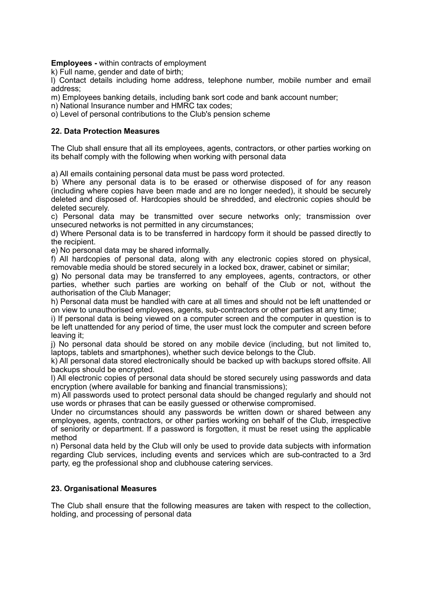**Employees -** within contracts of employment

k) Full name, gender and date of birth;

l) Contact details including home address, telephone number, mobile number and email address;

m) Employees banking details, including bank sort code and bank account number;

n) National Insurance number and HMRC tax codes;

o) Level of personal contributions to the Club's pension scheme

### **22. Data Protection Measures**

The Club shall ensure that all its employees, agents, contractors, or other parties working on its behalf comply with the following when working with personal data

a) All emails containing personal data must be pass word protected.

b) Where any personal data is to be erased or otherwise disposed of for any reason (including where copies have been made and are no longer needed), it should be securely deleted and disposed of. Hardcopies should be shredded, and electronic copies should be deleted securely.

c) Personal data may be transmitted over secure networks only; transmission over unsecured networks is not permitted in any circumstances;

d) Where Personal data is to be transferred in hardcopy form it should be passed directly to the recipient.

e) No personal data may be shared informally.

f) All hardcopies of personal data, along with any electronic copies stored on physical, removable media should be stored securely in a locked box, drawer, cabinet or similar;

g) No personal data may be transferred to any employees, agents, contractors, or other parties, whether such parties are working on behalf of the Club or not, without the authorisation of the Club Manager;

h) Personal data must be handled with care at all times and should not be left unattended or on view to unauthorised employees, agents, sub-contractors or other parties at any time;

i) If personal data is being viewed on a computer screen and the computer in question is to be left unattended for any period of time, the user must lock the computer and screen before leaving it;

j) No personal data should be stored on any mobile device (including, but not limited to, laptops, tablets and smartphones), whether such device belongs to the Club.

k) All personal data stored electronically should be backed up with backups stored offsite. All backups should be encrypted.

l) All electronic copies of personal data should be stored securely using passwords and data encryption (where available for banking and financial transmissions);

m) All passwords used to protect personal data should be changed regularly and should not use words or phrases that can be easily guessed or otherwise compromised.

Under no circumstances should any passwords be written down or shared between any employees, agents, contractors, or other parties working on behalf of the Club, irrespective of seniority or department. If a password is forgotten, it must be reset using the applicable method

n) Personal data held by the Club will only be used to provide data subjects with information regarding Club services, including events and services which are sub-contracted to a 3rd party, eg the professional shop and clubhouse catering services.

### **23. Organisational Measures**

The Club shall ensure that the following measures are taken with respect to the collection, holding, and processing of personal data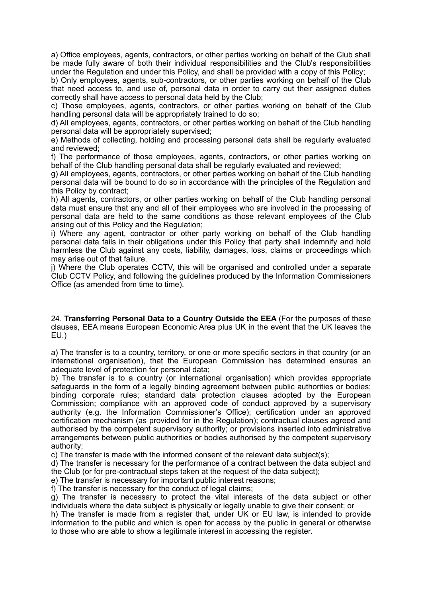a) Office employees, agents, contractors, or other parties working on behalf of the Club shall be made fully aware of both their individual responsibilities and the Club's responsibilities under the Regulation and under this Policy, and shall be provided with a copy of this Policy;

b) Only employees, agents, sub-contractors, or other parties working on behalf of the Club that need access to, and use of, personal data in order to carry out their assigned duties correctly shall have access to personal data held by the Club;

c) Those employees, agents, contractors, or other parties working on behalf of the Club handling personal data will be appropriately trained to do so;

d) All employees, agents, contractors, or other parties working on behalf of the Club handling personal data will be appropriately supervised;

e) Methods of collecting, holding and processing personal data shall be regularly evaluated and reviewed;

f) The performance of those employees, agents, contractors, or other parties working on behalf of the Club handling personal data shall be regularly evaluated and reviewed;

g) All employees, agents, contractors, or other parties working on behalf of the Club handling personal data will be bound to do so in accordance with the principles of the Regulation and this Policy by contract;

h) All agents, contractors, or other parties working on behalf of the Club handling personal data must ensure that any and all of their employees who are involved in the processing of personal data are held to the same conditions as those relevant employees of the Club arising out of this Policy and the Regulation;

i) Where any agent, contractor or other party working on behalf of the Club handling personal data fails in their obligations under this Policy that party shall indemnify and hold harmless the Club against any costs, liability, damages, loss, claims or proceedings which may arise out of that failure.

j) Where the Club operates CCTV, this will be organised and controlled under a separate Club CCTV Policy, and following the guidelines produced by the Information Commissioners Office (as amended from time to time).

24. **Transferring Personal Data to a Country Outside the EEA** (For the purposes of these clauses, EEA means European Economic Area plus UK in the event that the UK leaves the EU.)

a) The transfer is to a country, territory, or one or more specific sectors in that country (or an international organisation), that the European Commission has determined ensures an adequate level of protection for personal data;

b) The transfer is to a country (or international organisation) which provides appropriate safeguards in the form of a legally binding agreement between public authorities or bodies; binding corporate rules; standard data protection clauses adopted by the European Commission; compliance with an approved code of conduct approved by a supervisory authority (e.g. the Information Commissioner's Office); certification under an approved certification mechanism (as provided for in the Regulation); contractual clauses agreed and authorised by the competent supervisory authority; or provisions inserted into administrative arrangements between public authorities or bodies authorised by the competent supervisory authority;

c) The transfer is made with the informed consent of the relevant data subject(s);

d) The transfer is necessary for the performance of a contract between the data subject and the Club (or for pre-contractual steps taken at the request of the data subject);

e) The transfer is necessary for important public interest reasons;

f) The transfer is necessary for the conduct of legal claims;

g) The transfer is necessary to protect the vital interests of the data subject or other individuals where the data subject is physically or legally unable to give their consent; or

h) The transfer is made from a register that, under UK or EU law, is intended to provide information to the public and which is open for access by the public in general or otherwise to those who are able to show a legitimate interest in accessing the register.